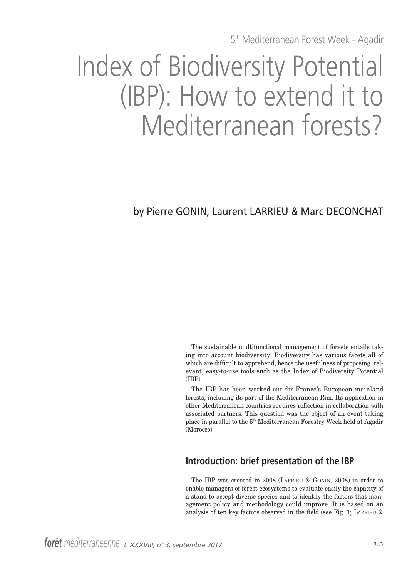# Index of Biodiversity Potential (IBP): How to extend it to Mediterranean forests?

by Pierre GONIN, Laurent LARRIEU & Marc DECONCHAT

The sustainable multifunctional management of forests entails taking into account biodiversity. Biodiversity has various facets all of which are difficult to apprehend, hence the usefulness of proposing relevant, easy-to-use tools such as the Index of Biodiversity Potential (IBP).

The IBP has been worked out for France's European mainland forests, including its part of the Mediterranean Rim. Its application in other Mediterranean countries requires reflection in collaboration with associated partners. This question was the object of an event taking place in parallel to the 5th Mediterranean Forestry Week held at Agadir (Morocco).

# **Introduction: brief presentation of the IBP**

The IBP was created in 2008 (LARRIEU & GONIN, 2008) in order to enable managers of forest ecosystems to evaluate easily the capacity of a stand to accept diverse species and to identify the factors that management policy and methodology could improve. It is based on an analysis of ten key factors observed in the field (see Fig. 1; LARRIEU &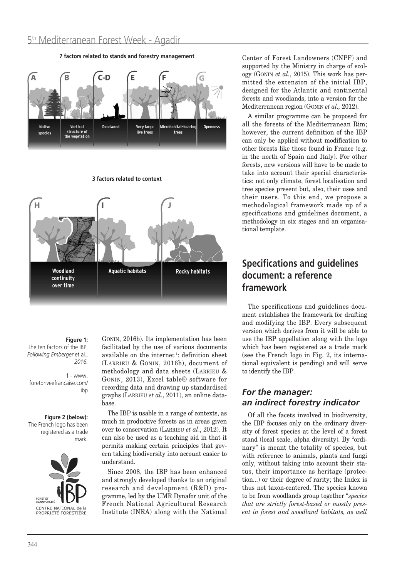

**7 factors related to stands and forestry management**

**3 factors related to context**



**Figure 1:**

The ten factors of the IBP. *Following Emberger* et al., *2016.*

1 - www. foretpriveefrancaise.com/ ibp

#### **Figure 2 (below):**

The French logo has been registered as a trade mark.



GONIN, 2016b). Its implementation has been facilitated by the use of various documents available on the internet<sup>1</sup>: definition sheet (LARRIEU & GONIN, 2016b), document of methodology and data sheets (LARRIEU & GONIN, 2013), Excel table® software for recording data and drawing up standardised graphs (LARRIEU *et al.*, 2011), an online database.

The IBP is usable in a range of contexts, as much in productive forests as in areas given over to conservation (LARRIEU *et al*., 2012). It can also be used as a teaching aid in that it permits making certain principles that govern taking biodiversity into account easier to understand.

Since 2008, the IBP has been enhanced and strongly developed thanks to an original research and development (R&D) programme, led by the UMR Dynafor unit of the French National Agricultural Research Institute (INRA) along with the National Center of Forest Landowners (CNPF) and supported by the Ministry in charge of ecology (GONIN *et al.*, 2015). This work has permitted the extension of the initial IBP, designed for the Atlantic and continental forests and woodlands, into a version for the Mediterranean region (GONIN *et al.,* 2012).

A similar programme can be proposed for all the forests of the Mediterranean Rim; however, the current definition of the IBP can only be applied without modification to other forests like those found in France (e.g. in the north of Spain and Italy). For other forests, new versions will have to be made to take into account their special characteristics: not only climate, forest localisation and tree species present but, also, their uses and their users. To this end, we propose a methodological framework made up of a specifications and guidelines document, a methodology in six stages and an organisational template.

# **Specifications and guidelines document: a reference framework**

The specifications and guidelines document establishes the framework for drafting and modifying the IBP. Every subsequent version which derives from it will be able to use the IBP appellation along with the logo which has been registered as a trade mark (see the French logo in Fig. 2, its international equivalent is pending) and will serve to identify the IBP.

## *For the manager: an indirect forestry indicator*

Of all the facets involved in biodiversity, the IBP focuses only on the ordinary diversity of forest species at the level of a forest stand (local scale, alpha diversity). By "ordinary" is meant the totality of species, but with reference to animals, plants and fungi only, without taking into account their status, their importance as heritage (protection...) or their degree of rarity; the Index is thus not taxon-centered. The species known to be from woodlands group together "*species that are strictly forest-based or mostly present in forest and woodland habitats, as well*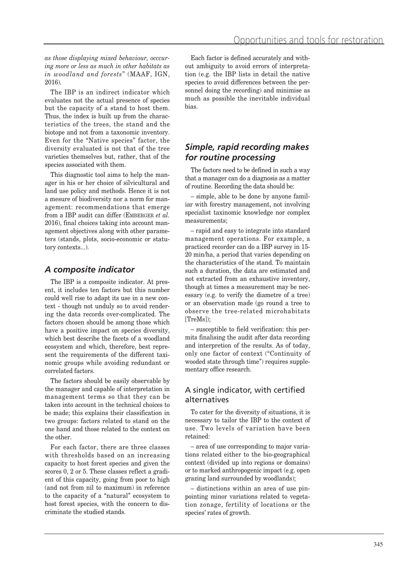*as those displaying mixed behaviour, occcuring more or less as much in other habitats as in woodland and forests*" (MAAF, IGN, 2016).

The IBP is an indirect indicator which evaluates not the actual presence of species but the capacity of a stand to host them. Thus, the index is built up from the characteristics of the trees, the stand and the biotope and not from a taxonomic inventory. Even for the "Native species" factor, the diversity evaluated is not that of the tree varieties themselves but, rather, that of the species associated with them.

This diagnostic tool aims to help the manager in his or her choice of silvicultural and land use policy and methods. Hence it is not a mesure of biodiversity nor a norm for management: recommendations that emerge from a IBP audit can differ (EMBERGER *et al.* 2016), final choices taking into account management objectives along with other parameters (stands, plots, socio-economic or statutory contexts...).

## *A composite indicator*

The IBP is a composite indicator. At present, it includes ten factors but this number could well rise to adapt its use in a new context - though not unduly so to avoid rendering the data records over-complicated. The factors chosen should be among those which have a positive impact on species diversity, which best describe the facets of a woodland ecosystem and which, therefore, best represent the requirements of the different taxinomic groups while avoiding redundant or correlated factors.

The factors should be easily observable by the manager and capable of interpretation in management terms so that they can be taken into account in the technical choices to be made; this explains their classification in two groups: factors related to stand on the one hand and those related to the context on the other.

For each factor, there are three classes with thresholds based on an increasing capacity to host forest species and given the scores 0, 2 or 5. These classes reflect a gradient of this capacity, going from poor to high (and not from nil to maximum) in reference to the capacity of a "natural" ecosystem to host forest species, with the concern to discriminate the studied stands.

Each factor is defined accurately and without ambiguity to avoid errors of interpretation (e.g. the IBP lists in detail the native species to avoid differences between the personnel doing the recording) and minimise as much as possible the inevitable individual bias.

## *Simple, rapid recording makes for routine processing*

The factors need to be defined in such a way that a manager can do a diagnosis as a matter of routine. Recording the data should be:

– simple, able to be done by anyone familiar with forestry management, not involving specialist taxinomic knowledge nor complex measurements;

– rapid and easy to integrate into standard management operations. For example, a practiced recorder can do a IBP survey in 15- 20 min/ha, a period that varies depending on the characteristics of the stand. To maintain such a duration, the data are estimated and not extracted from an exhaustive inventory, though at times a measurement may be necessary (e.g. to verify the diametre of a tree) or an observation made (go round a tree to observe the tree-related microhabitats [TreMs]);

– susceptible to field verification: this permits finalising the audit after data recording and interpretion of the results. As of today, only one factor of context ("Continuity of wooded state through time") requires supplementary office research.

## A single indicator, with certified alternatives

To cater for the diversity of situations, it is necessary to tailor the IBP to the context of use. Two levels of variation have been retained:

– area of use corresponding to major variations related either to the bio-geographical context (divided up into regions or domains) or to marked anthropogenic impact (e.g. open grazing land surrounded by woodlands);

– distinctions within an area of use pinpointing minor variations related to vegetation zonage, fertility of locations or the species' rates of growth.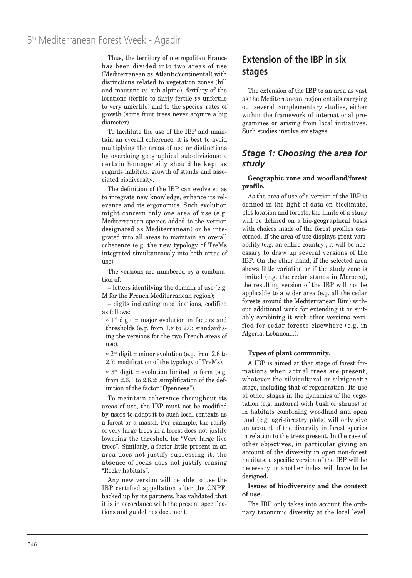Thus, the territory of metropolitan France has been divided into two areas of use (Mediterranean *vs* Atlantic/continental) with distinctions related to vegetation zones (hill and moutane *vs* sub-alpine), fertility of the locations (fertile to fairly fertile *vs* unfertile to very unfertile) and to the species' rates of growth (some fruit trees never acquire a big diameter).

To facilitate the use of the IBP and maintain an overall coherence, it is best to avoid multiplying the areas of use or distinctions by overdoing geographical sub-divisions: a certain homogeneity should be kept as regards habitats, growth of stands and associated biodiversity.

The definition of the IBP can evolve so as to integrate new knowledge, enhance its relevance and its ergonomics. Such evolution might concern only one area of use (e.g. Mediterranean species added to the version designated as Mediterranean) or be integrated into all areas to maintain an overall coherence (e.g. the new typology of TreMs integrated simultaneously into both areas of use).

The versions are numbered by a combination of:

– letters identifying the domain of use (e.g. M for the French Mediterranean region);

– digits indicating modifications, codified as follows:

 $*$  1<sup>st</sup> digit = major evolution in factors and thresholds (e.g. from 1.x to 2.0: standardising the versions for the two French areas of use),

 $* 2<sup>nd</sup>$  digit = minor evolution (e.g. from 2.6 to 2.7: modification of the typology of TreMs),

 $*$  3<sup>rd</sup> digit = evolution limited to form (e.g. from 2.6.1 to 2.6.2: simplification of the definition of the factor "Openness").

To maintain coherence throughout its areas of use, the IBP must not be modified by users to adapt it to such local contexts as a forest or a massif. For example, the rarity of very large trees in a forest does not justify lowering the threshold for "Very large live trees". Similarly, a factor little present in an area does not justify supressing it: the absence of rocks does not justify erasing "Rocky habitats".

Any new version will be able to use the IBP certified appellation after the CNPF, backed up by its partners, has validated that it is in accordance with the present specifications and guidelines document.

# **Extension of the IBP in six stages**

The extension of the IBP to an area as vast as the Mediterranean region entails carrying out several complementary studies, either within the framework of international programmes or arising from local initiatives. Such studies involve six stages.

#### *Stage 1: Choosing the area for study*

#### **Geographic zone and woodland/forest profile.**

As the area of use of a version of the IBP is defined in the light of data on bioclimate, plot location and forests, the limits of a study will be defined on a bio-geographical basis with choices made of the forest profiles concerned. If the area of use displays great variability (e.g. an entire country), it will be necessary to draw up several versions of the IBP. On the other hand, if the selected area shows little variation or if the study zone is limited (e.g. the cedar stands in Morocco), the resulting version of the IBP will not be applicable to a wider area (e.g. all the cedar forests around the Mediterranean Rim) without additional work for extending it or suitably combining it with other versions certified for cedar forests elsewhere (e.g. in Algeria, Lebanon...).

#### **Types of plant community.**

A IBP is aimed at that stage of forest formations when actual trees are present, whatever the silvicultural or silvigenetic stage, including that of regeneration. Its use at other stages in the dynamics of the vegetation (e.g. matorral with bush or shrubs) or in habitats combining woodland and open land (e.g. agri-forestry plots) will only give an account of the diversity in forest species in relation to the trees present. In the case of other objectives, in particular giving an account of the diversity in open non-forest habitats, a specific version of the IBP will be necessary or another index will have to be designed.

#### **Issues of biodiversity and the context of use.**

The IBP only takes into account the ordinary taxonomic diversity at the local level.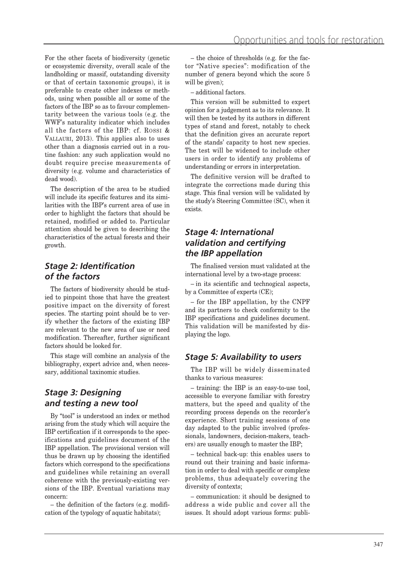For the other facets of biodiversity (genetic or ecosystemic diversity, overall scale of the landholding or massif, outstanding diversity or that of certain taxonomic groups), it is preferable to create other indexes or methods, using when possible all or some of the factors of the IBP so as to favour complementarity between the various tools (e.g. the WWF's naturality indicator which includes all the factors of the IBP: cf. ROSSI & VALLAURI, 2013). This applies also to uses other than a diagnosis carried out in a routine fashion: any such application would no doubt require precise measurements of diversity (e.g. volume and characteristics of dead wood).

The description of the area to be studied will include its specific features and its similarities with the IBP's current area of use in order to highlight the factors that should be retained, modified or added to. Particular attention should be given to describing the characteristics of the actual forests and their growth.

## *Stage 2: Identification of the factors*

The factors of biodiversity should be studied to pinpoint those that have the greatest positive impact on the diversity of forest species. The starting point should be to verify whether the factors of the existing IBP are relevant to the new area of use or need modification. Thereafter, further significant factors should be looked for.

This stage will combine an analysis of the bibliography, expert advice and, when necessary, additional taxinomic studies.

## *Stage 3: Designing and testing a new tool*

By "tool" is understood an index or method arising from the study which will acquire the IBP certification if it corresponds to the specifications and guidelines document of the IBP appellation. The provisional version will thus be drawn up by choosing the identified factors which correspond to the specifications and guidelines while retaining an overall coherence with the previously-existing versions of the IBP. Eventual variations may concern:

– the definition of the factors (e.g. modification of the typology of aquatic habitats);

– the choice of thresholds (e.g. for the factor "Native species": modification of the number of genera beyond which the score 5 will be given);

– additional factors.

This version will be submitted to expert opinion for a judgement as to its relevance. It will then be tested by its authors in different types of stand and forest, notably to check that the definition gives an accurate report of the stands' capacity to host new species. The test will be widened to include other users in order to identify any problems of understanding or errors in interpretation.

The definitive version will be drafted to integrate the corrections made during this stage. This final version will be validated by the study's Steering Committee (SC), when it exists.

## *Stage 4: International validation and certifying the IBP appellation*

The finalised version must validated at the international level by a two-stage process:

– in its scientific and technogical aspects, by a Committee of experts (CE);

– for the IBP appellation, by the CNPF and its partners to check conformity to the IBP specifications and guidelines document. This validation will be manifested by displaying the logo.

#### *Stage 5: Availability to users*

The IBP will be widely disseminated thanks to various measures:

– training: the IBP is an easy-to-use tool, accessible to everyone familiar with forestry matters, but the speed and quality of the recording process depends on the recorder's experience. Short training sessions of one day adapted to the public involved (professionals, landowners, decision-makers, teachers) are usually enough to master the IBP;

– technical back-up: this enables users to round out their training and basic information in order to deal with specific or complexe problems, thus adequately covering the diversity of contexts;

– communication: it should be designed to address a wide public and cover all the issues. It should adopt various forms: publi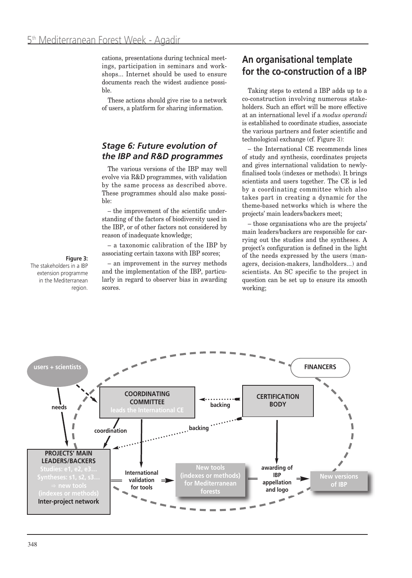cations, presentations during technical meetings, participation in seminars and workshops... Internet should be used to ensure documents reach the widest audience possible.

These actions should give rise to a network of users, a platform for sharing information.

## *Stage 6: Future evolution of the IBP and R&D programmes*

The various versions of the IBP may well evolve via R&D programmes, with validation by the same process as described above. These programmes should also make possible:

– the improvement of the scientific understanding of the factors of biodiversity used in the IBP, or of other factors not considered by reason of inadequate knowledge;

– a taxonomic calibration of the IBP by associating certain taxons with IBP scores;

#### **Figure 3:**

The stakeholders in a IBP extension programme in the Mediterranean region.

– an improvement in the survey methods and the implementation of the IBP, particularly in regard to observer bias in awarding scores.

# **An organisational template for the co-construction of a IBP**

Taking steps to extend a IBP adds up to a co-construction involving numerous stakeholders. Such an effort will be more effective at an international level if a *modus operandi* is established to coordinate studies, associate the various partners and foster scientific and technological exchange (cf. Figure 3):

– the International CE recommends lines of study and synthesis, coordinates projects and gives international validation to newlyfinalised tools (indexes or methods). It brings scientists and users together. The CE is led by a coordinating committee which also takes part in creating a dynamic for the theme-based networks which is where the projects' main leaders/backers meet;

– those organisations who are the projects' main leaders/backers are responsible for carrying out the studies and the syntheses. A project's configuration is defined in the light of the needs expressed by the users (managers, decision-makers, landholders...) and scientists. An SC specific to the project in question can be set up to ensure its smooth working;

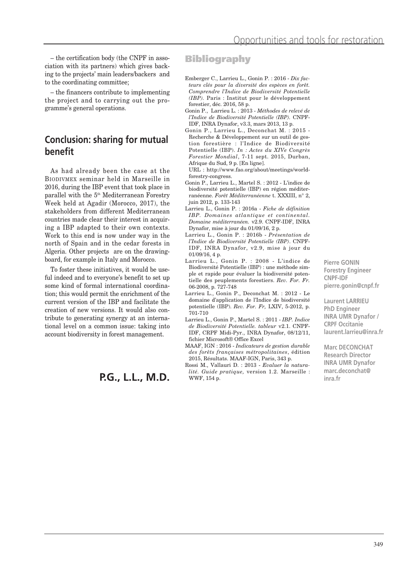– the certification body (the CNPF in association with its partners) which gives backing to the projects' main leaders/backers and to the coordinating committee;

– the financers contribute to implementing the project and to carrying out the programme's general operations.

# **Conclusion: sharing for mutual benefit**

As had already been the case at the BIODIVMEX seminar held in Marseille in 2016, during the IBP event that took place in parallel with the 5th Mediterranean Forestry Week held at Agadir (Morocco, 2017), the stakeholders from different Mediterranean countries made clear their interest in acquiring a IBP adapted to their own contexts. Work to this end is now under way in the north of Spain and in the cedar forests in Algeria. Other projects are on the drawingboard, for example in Italy and Morocco.

To foster these initiatives, it would be useful indeed and to everyone's benefit to set up some kind of formal international coordination; this would permit the enrichment of the current version of the IBP and facilitate the creation of new versions. It would also contribute to generating synergy at an international level on a common issue: taking into account biodiversity in forest management.

# **P.G., L.L., M.D.**

#### **Bibliography**

- Emberger C., Larrieu L., Gonin P. : 2016 *Dix facteurs clés pour la diversité des espèces en forêt. Comprendre l'Indice de Biodiversité Potentielle (IBP).* Paris : Institut pour le développement forestier, déc. 2016, 58 p.
- Gonin P., Larrieu L. : 2013 *Méthodes de relevé de l'Indice de Biodiversité Potentielle (IBP).* CNPF-IDF, INRA Dynafor, v3.3, mars 2013, 13 p.
- Gonin P., Larrieu L., Deconchat M. : 2015 Recherche & Développement sur un outil de gestion forestière : l'Indice de Biodiversité Potentielle (IBP). *In : Actes du XIVe Congrès Forestier Mondial*, 7-11 sept. 2015, Durban, Afrique du Sud, 9 p. [En ligne].

URL : http://www.fao.org/about/meetings/worldforestry-congress.

- Gonin P., Larrieu L., Martel S. : 2012 L'indice de biodiversité potentielle (IBP) en région méditerranéenne. *Forêt Méditerranéenne* t. XXXIII, n° 2, juin 2012, p. 133-143
- Larrieu L., Gonin P. : 2016a *Fiche de définition IBP. Domaines atlantique et continental. Domaine méditerranéen.* v2.9. CNPF-IDF, INRA Dynafor, mise à jour du 01/09/16, 2 p.
- Larrieu L., Gonin P. : 2016b *Présentation de l'Indice de Biodiversité Potentielle (IBP)*. CNPF-IDF, INRA Dynafor, v2.9, mise à jour du 01/09/16, 4 p.
- Larrieu L., Gonin P. : 2008 L'indice de Biodiversité Potentielle (IBP) : une méthode simple et rapide pour évaluer la biodiversité potentielle des peuplements forestiers. *Rev. For. Fr.* 06-2008, p. 727-748
- Larrieu L., Gonin P., Deconchat M. : 2012 Le domaine d'application de l'Indice de biodiversité potentielle (IBP). *Rev. For. Fr,* LXIV, 5-2012, p. 701-710
- Larrieu L., Gonin P., Martel S. : 2011 *IBP. Indice de Biodiversité Potentielle. tableur* v2.1. CNPF-IDF, CRPF Midi-Pyr., INRA Dynafor, 08/12/11, fichier Microsoft® Office Excel
- MAAF, IGN : 2016 *Indicateurs de gestion durable des forêts françaises métropolitaines*, édition 2015, Résultats. MAAF-IGN, Paris, 343 p.

Rossi M., Vallauri D. : 2013 - *Evaluer la naturalité. Guide pratique,* version 1.2. Marseille : WWF, 154 p.

**Pierre GONIN Forestry Engineer CNPF-IDF pierre.gonin@cnpf.fr**

**Laurent LARRIEU PhD Engineer INRA UMR Dynafor / CRPF Occitanie laurent.larrieu@inra.fr**

**Marc DECONCHAT Research Director INRA UMR Dynafor marc.deconchat@ inra.fr**